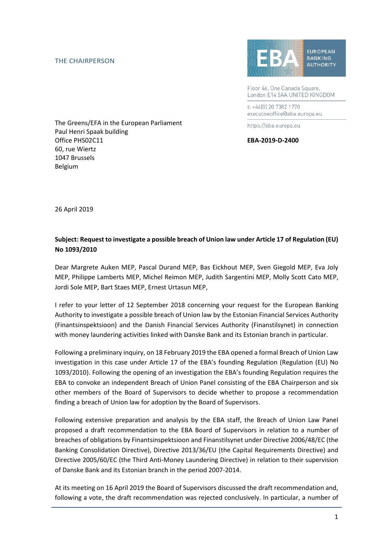## THE CHAIRPERSON



Floor 46, One Canada Square, London E14 5AA UNITED KINGDOM

t: +44(0) 20 7382 1770 executiveoffice@eba.europa.eu

https://eba.europa.eu

The Greens/EFA in the European Parliament Paul Henri Spaak building Office PHS02C11 **EBA-2019-D-2400** 60, rue Wiertz 1047 Brussels Belgium

26 April 2019

## **Subject: Request to investigate a possible breach of Union law under Article 17 of Regulation (EU) No 1093/2010**

Dear Margrete Auken MEP, Pascal Durand MEP, Bas Eickhout MEP, Sven Giegold MEP, Eva Joly MEP, Philippe Lamberts MEP, Michel Reimon MEP, Judith Sargentini MEP, Molly Scott Cato MEP, Jordi Sole MEP, Bart Staes MEP, Ernest Urtasun MEP,

I refer to your letter of 12 September 2018 concerning your request for the European Banking Authority to investigate a possible breach of Union law by the Estonian Financial Services Authority (Finantsinspektsioon) and the Danish Financial Services Authority (Finanstilsynet) in connection with money laundering activities linked with Danske Bank and its Estonian branch in particular.

Following a preliminary inquiry, on 18 February 2019 the EBA opened a formal Breach of Union Law investigation in this case under Article 17 of the EBA's founding Regulation (Regulation (EU) No 1093/2010). Following the opening of an investigation the EBA's founding Regulation requires the EBA to convoke an independent Breach of Union Panel consisting of the EBA Chairperson and six other members of the Board of Supervisors to decide whether to propose a recommendation finding a breach of Union law for adoption by the Board of Supervisors.

Following extensive preparation and analysis by the EBA staff, the Breach of Union Law Panel proposed a draft recommendation to the EBA Board of Supervisors in relation to a number of breaches of obligations by Finantsinspektsioon and Finanstilsynet under Directive 2006/48/EC (the Banking Consolidation Directive), Directive 2013/36/EU (the Capital Requirements Directive) and Directive 2005/60/EC (the Third Anti-Money Laundering Directive) in relation to their supervision of Danske Bank and its Estonian branch in the period 2007-2014.

At its meeting on 16 April 2019 the Board of Supervisors discussed the draft recommendation and, following a vote, the draft recommendation was rejected conclusively. In particular, a number of